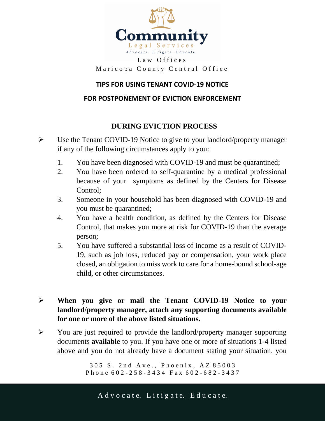

#### Law Offices Maricopa County Central Office

#### **TIPS FOR USING TENANT COVID-19 NOTICE**

#### **FOR POSTPONEMENT OF EVICTION ENFORCEMENT**

## **DURING EVICTION PROCESS**

- Use the Tenant COVID-19 Notice to give to your landlord/property manager if any of the following circumstances apply to you:
	- 1. You have been diagnosed with COVID-19 and must be quarantined;
	- 2. You have been ordered to self-quarantine by a medical professional because of your symptoms as defined by the Centers for Disease Control;
	- 3. Someone in your household has been diagnosed with COVID-19 and you must be quarantined;
	- 4. You have a health condition, as defined by the Centers for Disease Control, that makes you more at risk for COVID-19 than the average person;
	- 5. You have suffered a substantial loss of income as a result of COVID-19, such as job loss, reduced pay or compensation, your work place closed, an obligation to miss work to care for a home-bound school-age child, or other circumstances.

## **When you give or mail the Tenant COVID-19 Notice to your landlord/property manager, attach any supporting documents available for one or more of the above listed situations.**

 $\triangleright$  You are just required to provide the landlord/property manager supporting documents **available** to you. If you have one or more of situations 1-4 listed above and you do not already have a document stating your situation, you

> 305 S. 2nd Ave., Phoenix, AZ 85003 Phone 602-258-3434 Fax 602-682-3437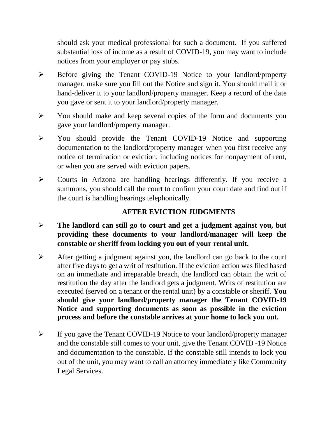should ask your medical professional for such a document. If you suffered substantial loss of income as a result of COVID-19, you may want to include notices from your employer or pay stubs.

- Before giving the Tenant COVID-19 Notice to your landlord/property manager, make sure you fill out the Notice and sign it. You should mail it or hand-deliver it to your landlord/property manager. Keep a record of the date you gave or sent it to your landlord/property manager.
- You should make and keep several copies of the form and documents you gave your landlord/property manager.
- You should provide the Tenant COVID-19 Notice and supporting documentation to the landlord/property manager when you first receive any notice of termination or eviction, including notices for nonpayment of rent, or when you are served with eviction papers.
- Courts in Arizona are handling hearings differently. If you receive a summons, you should call the court to confirm your court date and find out if the court is handling hearings telephonically.

# **AFTER EVICTION JUDGMENTS**

- **The landlord can still go to court and get a judgment against you, but providing these documents to your landlord/manager will keep the constable or sheriff from locking you out of your rental unit.**
- $\triangleright$  After getting a judgment against you, the landlord can go back to the court after five days to get a writ of restitution. If the eviction action was filed based on an immediate and irreparable breach, the landlord can obtain the writ of restitution the day after the landlord gets a judgment. Writs of restitution are executed (served on a tenant or the rental unit) by a constable or sheriff. **You should give your landlord/property manager the Tenant COVID-19 Notice and supporting documents as soon as possible in the eviction process and before the constable arrives at your home to lock you out.**
- If you gave the Tenant COVID-19 Notice to your landlord/property manager and the constable still comes to your unit, give the Tenant COVID -19 Notice and documentation to the constable. If the constable still intends to lock you out of the unit, you may want to call an attorney immediately like Community Legal Services.